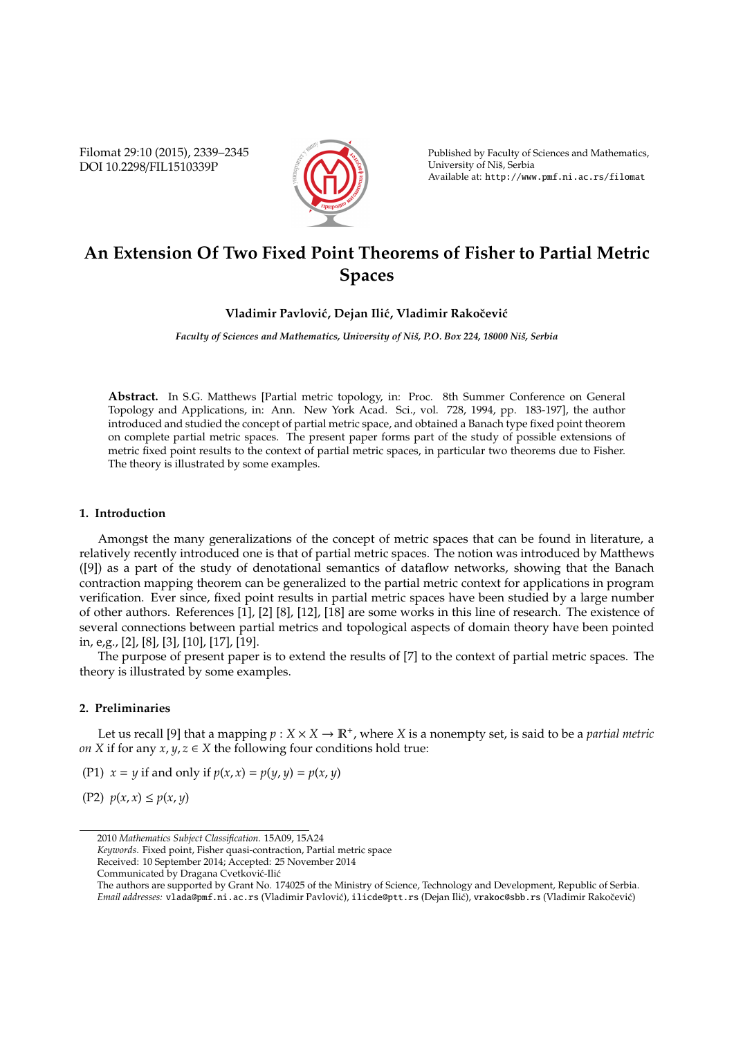Filomat 29:10 (2015), 2339–2345 DOI 10.2298/FIL1510339P



Published by Faculty of Sciences and Mathematics, University of Niš, Serbia Available at: http://www.pmf.ni.ac.rs/filomat

# **An Extension Of Two Fixed Point Theorems of Fisher to Partial Metric Spaces**

### **Vladimir Pavlovi´c, Dejan Ili´c, Vladimir Rakoˇcevi´c**

*Faculty of Sciences and Mathematics, University of Niš, P.O. Box 224, 18000 Niš, Serbia* 

**Abstract.** In S.G. Matthews [Partial metric topology, in: Proc. 8th Summer Conference on General Topology and Applications, in: Ann. New York Acad. Sci., vol. 728, 1994, pp. 183-197], the author introduced and studied the concept of partial metric space, and obtained a Banach type fixed point theorem on complete partial metric spaces. The present paper forms part of the study of possible extensions of metric fixed point results to the context of partial metric spaces, in particular two theorems due to Fisher. The theory is illustrated by some examples.

## **1. Introduction**

Amongst the many generalizations of the concept of metric spaces that can be found in literature, a relatively recently introduced one is that of partial metric spaces. The notion was introduced by Matthews ([9]) as a part of the study of denotational semantics of dataflow networks, showing that the Banach contraction mapping theorem can be generalized to the partial metric context for applications in program verification. Ever since, fixed point results in partial metric spaces have been studied by a large number of other authors. References [1], [2] [8], [12], [18] are some works in this line of research. The existence of several connections between partial metrics and topological aspects of domain theory have been pointed in, e,g., [2], [8], [3], [10], [17], [19].

The purpose of present paper is to extend the results of [7] to the context of partial metric spaces. The theory is illustrated by some examples.

## **2. Preliminaries**

Let us recall [9] that a mapping  $p: X \times X \to \mathbb{R}^+$ , where *X* is a nonempty set, is said to be a *partial metric on X* if for any *x*,  $y, z \in X$  the following four conditions hold true:

(P1)  $x = y$  if and only if  $p(x, x) = p(y, y) = p(x, y)$ 

(P2) *p*(*x*, *x*) ≤ *p*(*x*, *y*)

<sup>2010</sup> *Mathematics Subject Classification*. 15A09, 15A24

*Keywords*. Fixed point, Fisher quasi-contraction, Partial metric space

Received: 10 September 2014; Accepted: 25 November 2014

Communicated by Dragana Cvetković-Ilić

The authors are supported by Grant No. 174025 of the Ministry of Science, Technology and Development, Republic of Serbia. *Email addresses*: vlada@pmf.ni.ac.rs (Vladimir Pavlović), ilicde@ptt.rs (Dejan Ilić), vrakoc@sbb.rs (Vladimir Rakočević)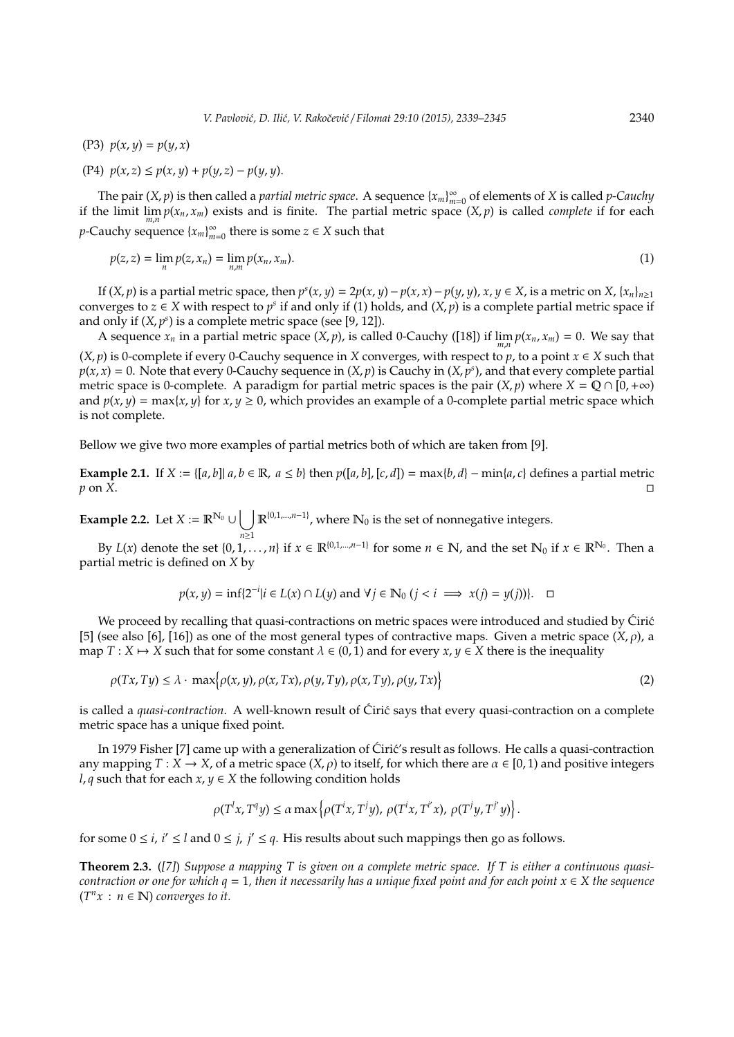(P3) *p*(*x*, *y*) = *p*(*y*, *x*)

(P4) 
$$
p(x, z) \le p(x, y) + p(y, z) - p(y, y)
$$
.

The pair  $(X, p)$  is then called a *partial metric space*. A sequence  $\{x_m\}_{m=1}^{\infty}$ *m*=0 of elements of *X* is called *p*-*Cauchy* if the limit  $\lim_{m,n} p(x_n, x_m)$  exists and is finite. The partial metric space  $(X, p)$  is called *complete* if for each *p*-Cauchy sequence {*xm*} ∞  $\sum_{m=0}^{\infty}$  there is some  $z \in X$  such that

$$
p(z, z) = \lim_{n} p(z, x_n) = \lim_{n,m} p(x_n, x_m).
$$
 (1)

If  $(X, p)$  is a partial metric space, then  $p^s(x, y) = 2p(x, y) - p(x, x) - p(y, y)$ ,  $x, y \in X$ , is a metric on  $X$ ,  $\{x_n\}_{n \ge 1}$ converges to  $z \in X$  with respect to  $p^s$  if and only if (1) holds, and  $(X, p)$  is a complete partial metric space if and only if  $(X, p<sup>s</sup>)$  is a complete metric space (see [9, 12]).

A sequence  $x_n$  in a partial metric space  $(X, p)$ , is called 0-Cauchy ([18]) if  $\lim_{m,n} p(x_n, x_m) = 0$ . We say that  $(X, p)$  is 0-complete if every 0-Cauchy sequence in *X* converges, with respect to *p*, to a point  $x \in X$  such that  $p(x, x) = 0$ . Note that every 0-Cauchy sequence in  $(X, p)$  is Cauchy in  $(X, p^s)$ , and that every complete partial metric space is 0-complete. A paradigm for partial metric spaces is the pair  $(X, p)$  where  $X = \mathbb{Q} \cap [0, +\infty)$ and  $p(x, y) = \max\{x, y\}$  for  $x, y \ge 0$ , which provides an example of a 0-complete partial metric space which is not complete.

Bellow we give two more examples of partial metrics both of which are taken from [9].

**Example 2.1.** If  $X := \{ [a,b] | a,b \in \mathbb{R}, a \leq b \}$  then  $p([a,b], [c,d]) = \max\{b,d\} - \min\{a,c\}$  defines a partial metric  $p$  on  $\tilde{X}$ .

**Example 2.2.** Let  $X := \mathbb{R}^{N_0} \cup \begin{bmatrix} \end{bmatrix}$ *n*≥1  $\mathbb{R}^{\{0,1,\ldots,n-1\}}$ , where  $\mathbb{N}_0$  is the set of nonnegative integers.

By  $L(x)$  denote the set  $\{0, 1, ..., n\}$  if  $x \in \mathbb{R}^{\{0, 1, ..., n-1\}}$  for some  $n \in \mathbb{N}$ , and the set  $\mathbb{N}_0$  if  $x \in \mathbb{R}^{\mathbb{N}_0}$ . Then a partial metric is defined on *X* by

$$
p(x, y) = \inf\{2^{-i} | i \in L(x) \cap L(y) \text{ and } \forall j \in \mathbb{N}_0 \ (j < i \implies x(j) = y(j))\}.
$$

We proceed by recalling that quasi-contractions on metric spaces were introduced and studied by Ciric [5] (see also [6], [16]) as one of the most general types of contractive maps. Given a metric space  $(X, \rho)$ , a map *T* : *X*  $\mapsto$  *X* such that for some constant  $\lambda \in (0, 1)$  and for every *x*,  $\gamma \in X$  there is the inequality

$$
\rho(Tx, Ty) \le \lambda \cdot \max\{\rho(x, y), \rho(x, Tx), \rho(y, Ty), \rho(x, Ty), \rho(y, Tx)\}
$$
\n(2)

is called a *quasi-contraction*. A well-known result of Ciric says that every quasi-contraction on a complete metric space has a unique fixed point.

In 1979 Fisher [7] came up with a generalization of Ciric's result as follows. He calls a quasi-contraction any mapping  $T : X \to X$ , of a metric space  $(X, \rho)$  to itself, for which there are  $\alpha \in [0, 1)$  and positive integers *l*, *q* such that for each  $x, y \in X$  the following condition holds

$$
\rho(T^ix, T^q y) \le \alpha \max \left\{ \rho(T^ix, T^j y), \rho(T^ix, T^{i'} x), \rho(T^j y, T^{j'} y) \right\}.
$$

for some  $0 \le i$ ,  $i' \le l$  and  $0 \le j$ ,  $j' \le q$ . His results about such mappings then go as follows.

**Theorem 2.3.** (*[7]*) *Suppose a mapping T is given on a complete metric space. If T is either a continuous quasicontraction or one for which q* = 1, then it necessarily has a unique fixed point and for each point  $x \in X$  the sequence  $(T<sup>n</sup>x : n \in \mathbb{N})$  *converges to it.*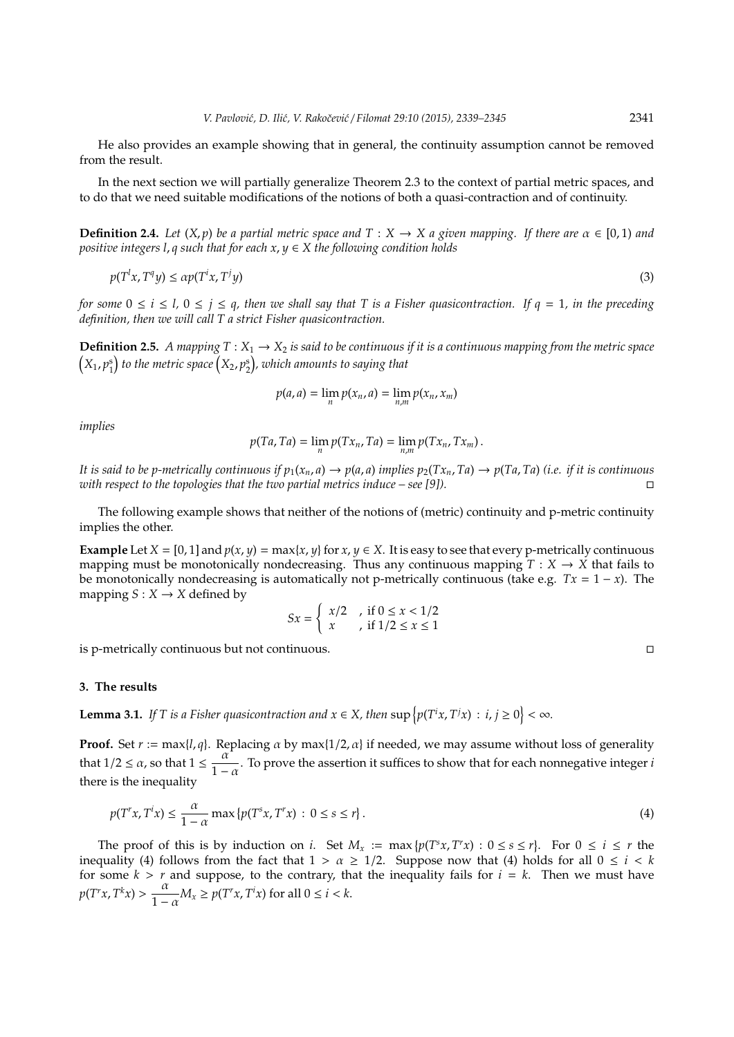He also provides an example showing that in general, the continuity assumption cannot be removed from the result.

In the next section we will partially generalize Theorem 2.3 to the context of partial metric spaces, and to do that we need suitable modifications of the notions of both a quasi-contraction and of continuity.

**Definition 2.4.** *Let*  $(X, p)$  *be a partial metric space and*  $T : X \rightarrow X$  *a given mapping. If there are*  $\alpha \in [0, 1)$  *and positive integers l*, *q such that for each x*, *y* ∈ *X the following condition holds*

$$
p(T^l x, T^q y) \le \alpha p(T^i x, T^j y) \tag{3}
$$

*for some*  $0 \le i \le l$ ,  $0 \le j \le q$ , then we shall say that T is a Fisher quasicontraction. If  $q = 1$ , in the preceding *definition, then we will call T a strict Fisher quasicontraction.*

**Definition 2.5.** *A mapping*  $T: X_1 \to X_2$  *is said to be continuous if it is a continuous mapping from the metric space*  $\left( X_{1}, p_{1}^{\mathrm{s}} \right)$  to the metric space  $\left( X_{2}, p_{2}^{\mathrm{s}} \right)$ , which amounts to saying that

$$
p(a,a)=\lim_n p(x_n,a)=\lim_{n,m} p(x_n,x_m)
$$

*implies*

$$
p(Ta,Ta)=\lim_n p(Tx_n,Ta)=\lim_{n,m} p(Tx_n,Tx_m).
$$

It is said to be p-metrically continuous if  $p_1(x_n, a) \to p(a, a)$  implies  $p_2(Tx_n, Ta) \to p(Ta, Ta)$  (i.e. if it is continuous *with respect to the topologies that the two partial metrics induce – see [9]).*

The following example shows that neither of the notions of (metric) continuity and p-metric continuity implies the other.

**Example** Let *X* = [0, 1] and  $p(x, y) = \max\{x, y\}$  for  $x, y \in X$ . It is easy to see that every p-metrically continuous mapping must be monotonically nondecreasing. Thus any continuous mapping  $T : X \to X$  that fails to be monotonically nondecreasing is automatically not p-metrically continuous (take e.g.  $Tx = 1 - x$ ). The mapping  $S: X \rightarrow X$  defined by

$$
Sx = \begin{cases} x/2, & \text{if } 0 \le x < 1/2 \\ x, & \text{if } 1/2 \le x \le 1 \end{cases}
$$

is p-metrically continuous but not continuous.

#### **3. The results**

**Lemma 3.1.** If T is a Fisher quasicontraction and  $x \in X$ , then  $\sup \{p(T^i x, T^j x) : i, j \ge 0\} < \infty$ .

**Proof.** Set  $r := \max\{l, q\}$ . Replacing  $\alpha$  by  $\max\{1/2, \alpha\}$  if needed, we may assume without loss of generality that  $1/2 \le \alpha$ , so that  $1 \le \frac{\alpha}{1}$  $\frac{a}{1-a}$ . To prove the assertion it suffices to show that for each nonnegative integer *i* there is the inequality

$$
p(T^r x, T^r x) \le \frac{\alpha}{1 - \alpha} \max \{ p(T^s x, T^r x) : 0 \le s \le r \}.
$$
\n
$$
(4)
$$

The proof of this is by induction on *i*. Set  $M_x := \max\{p(T^s x, T^r x) : 0 \le s \le r\}$ . For  $0 \le i \le r$  the inequality (4) follows from the fact that  $1 > \alpha \geq 1/2$ . Suppose now that (4) holds for all  $0 \leq i < k$ for some  $k > r$  and suppose, to the contrary, that the inequality fails for  $i = k$ . Then we must have  $p(T^r x, T^k x) > \frac{\alpha}{1}$  $\frac{\alpha}{1-\alpha}M_x \ge p(T^rx, T^ix)$  for all  $0 \le i < k$ .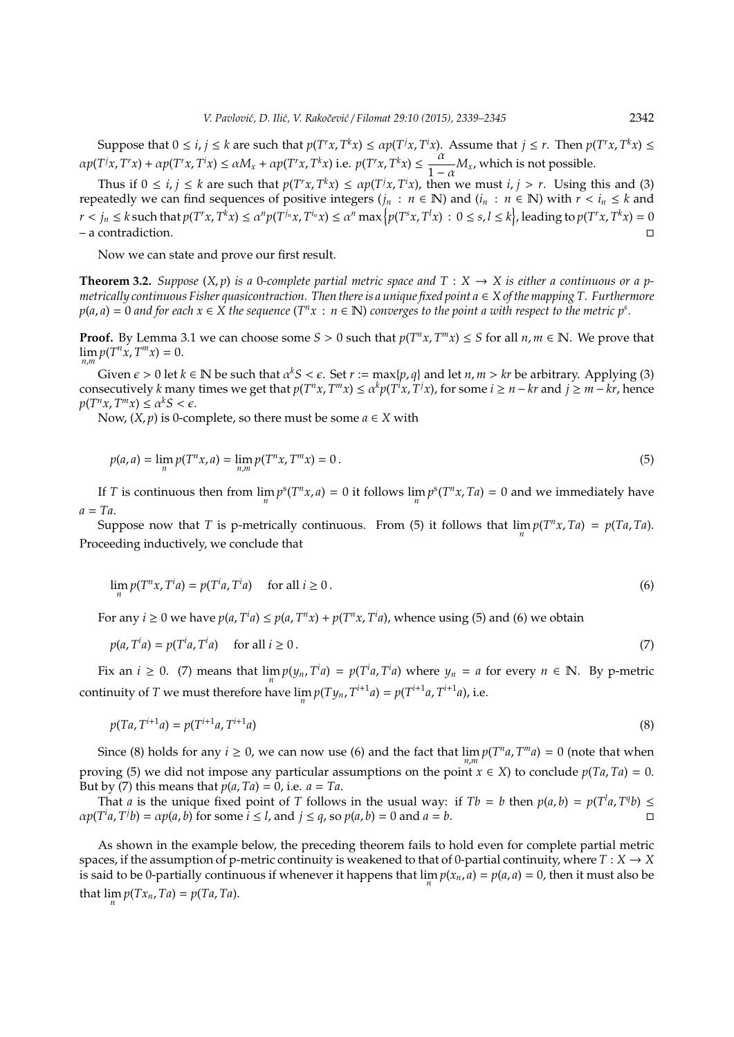Suppose that  $0 \le i, j \le k$  are such that  $p(T^r x, T^k x) \le \alpha p(T^j x, T^i x)$ . Assume that  $j \le r$ . Then  $p(T^r x, T^k x) \le$  $\alpha p(T^{\dagger}x, T^{\dagger}x) + \alpha p(T^{\dagger}x, T^{\dagger}x) \leq \alpha M_x + \alpha p(T^{\dagger}x, T^kx)$  i.e.  $p(T^{\dagger}x, T^kx) \leq \frac{\alpha}{1}$  $\frac{\alpha}{1-\alpha}M_x$ , which is not possible.

Thus if  $0 \le i, j \le k$  are such that  $p(T^r x, T^k x) \le \alpha p(T^j x, T^i x)$ , then we must  $i, j > r$ . Using this and (3) repeatedly we can find sequences of positive integers ( $j_n : n \in \mathbb{N}$ ) and ( $i_n : n \in \mathbb{N}$ ) with  $r < i_n \leq k$  and  $r < j_n \leq k$  such that  $p(T^r x, T^k x) \leq \alpha^n p(T^{j_n} x, T^{i_n} x) \leq \alpha^n \max\big\{p(T^s x, T^l x)\,:\, 0\leq s,l\leq k\big\}$ , leading to  $p(T^r x, T^k x)=0$ – a contradiction.

Now we can state and prove our first result.

*i*

**Theorem 3.2.** *Suppose*  $(X, p)$  *is a* 0*-complete partial metric space and*  $T : X \rightarrow X$  *is either a continuous or a pmetrically continuous Fisher quasicontraction. Then there is a unique fixed point a* ∈ *X of the mapping T. Furthermore*  $p(a,a)=0$  and for each  $x\in X$  the sequence (T<sup>n</sup> $x\,:\,n\in\mathbb{N}$ ) converges to the point a with respect to the metric  $p^s.$ 

**Proof.** By Lemma 3.1 we can choose some  $S > 0$  such that  $p(T^n x, T^m x) \leq S$  for all  $n, m \in \mathbb{N}$ . We prove that  $\lim_{n,m} p(T^n x, T^m x) = 0.$ 

Given  $\epsilon > 0$  let  $k \in \mathbb{N}$  be such that  $\alpha^k S < \epsilon$ . Set  $r := \max\{p, q\}$  and let  $n, m > kr$  be arbitrary. Applying (3) consecutively k many times we get that  $p(T^n x, T^m x) \le \alpha^k p(T^i x, T^j x)$ , for some  $i \ge n - kr$  and  $j \ge m - kr$ , hence  $p(T^n x, T^m x) \leq \alpha^k S < \epsilon.$ 

Now,  $(X, p)$  is 0-complete, so there must be some  $a \in X$  with

$$
p(a,a) = \lim_{n} p(T^n x, a) = \lim_{n,m} p(T^n x, T^m x) = 0.
$$
 (5)

If *T* is continuous then from  $\lim_{n} p^{s}(T^{n}x, a) = 0$  it follows  $\lim_{n} p^{s}(T^{n}x, Ta) = 0$  and we immediately have *a* = *Ta*.

Suppose now that *T* is p-metrically continuous. From (5) it follows that  $\lim_{n} p(T^n x, Ta) = p(Ta, Ta)$ . Proceeding inductively, we conclude that

$$
\lim_{n} p(T^{n}x, T^{i}a) = p(T^{i}a, T^{i}a) \quad \text{ for all } i \ge 0.
$$
 (6)

For any  $i \ge 0$  we have  $p(a, T^i a) \le p(a, T^n x) + p(T^n x, T^i a)$ , whence using (5) and (6) we obtain

$$
p(a, T^i a) = p(T^i a, T^i a) \quad \text{for all } i \ge 0.
$$
 (7)

Fix an  $i \ge 0$ . (7) means that  $\lim_{n} p(y_n, T^i a) = p(T^i a, T^i a)$  where  $y_n = a$  for every  $n \in \mathbb{N}$ . By p-metric continuity of *T* we must therefore have  $\lim_{n} p(Ty_n, T^{i+1}a) = p(T^{i+1}a, T^{i+1}a)$ , i.e.

$$
p(Ta, T^{i+1}a) = p(T^{i+1}a, T^{i+1}a)
$$
\n(8)

Since (8) holds for any  $i \ge 0$ , we can now use (6) and the fact that  $\lim_{n,m} p(T^n a, T^m a) = 0$  (note that when proving (5) we did not impose any particular assumptions on the point  $x \in X$ ) to conclude  $p(Ta, Ta) = 0$ . But by (7) this means that  $p(a, Ta) = 0$ , i.e.  $a = Ta$ .

That *a* is the unique fixed point of *T* follows in the usual way: if  $Tb = b$  then  $p(a, b) = p(T^l a, T^q b) \le$  $\alpha p(T^i a, T^j b) = \alpha p(a, b)$  for some  $i \leq l$ , and  $j \leq q$ , so  $p(a, b) = 0$  and  $a = b$ .

As shown in the example below, the preceding theorem fails to hold even for complete partial metric spaces, if the assumption of p-metric continuity is weakened to that of 0-partial continuity, where  $T : X \to X$ is said to be 0-partially continuous if whenever it happens that  $\lim_n p(x_n, a) = p(a, a) = 0$ , then it must also be that  $\lim_{n} p(Tx_n, Ta) = p(Ta, Ta)$ .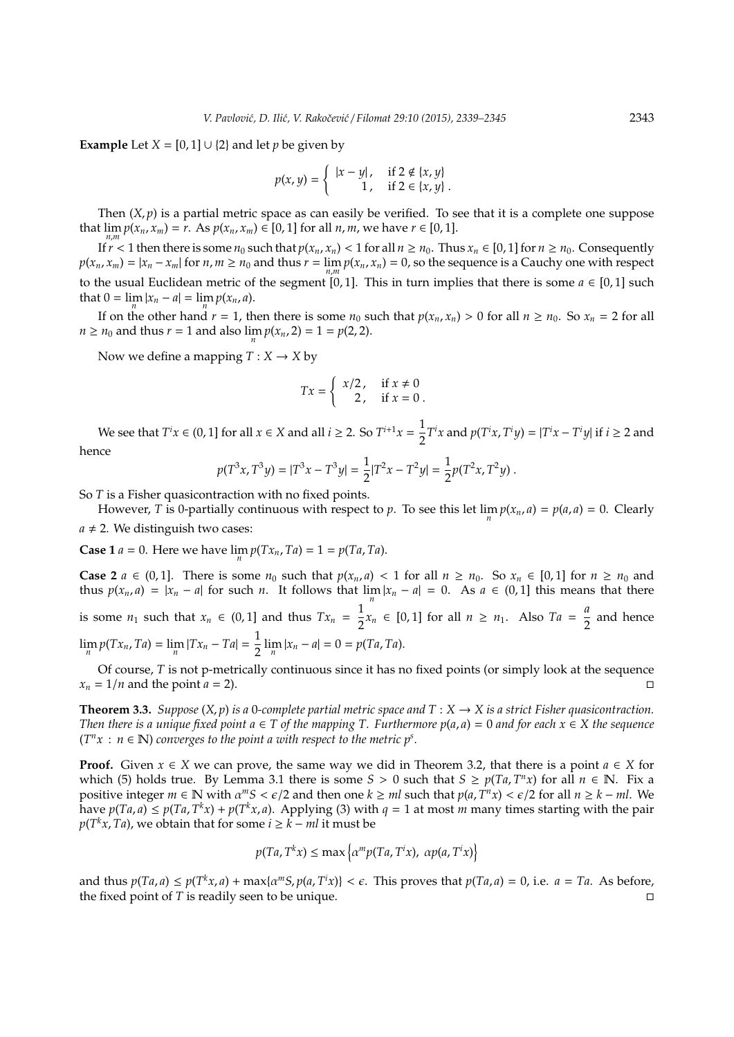**Example** Let  $X = [0, 1] \cup \{2\}$  and let *p* be given by

$$
p(x, y) = \begin{cases} |x - y|, & \text{if } 2 \notin \{x, y\} \\ 1, & \text{if } 2 \in \{x, y\} \end{cases}
$$

Then  $(X, p)$  is a partial metric space as can easily be verified. To see that it is a complete one suppose that  $\lim_{n,m} p(x_n, x_m) = r$ . As  $p(x_n, x_m) \in [0, 1]$  for all *n*, *m*, we have *r* ∈ [0, 1].

If  $r < 1$  then there is some  $n_0$  such that  $p(x_n, x_n) < 1$  for all  $n \ge n_0$ . Thus  $x_n \in [0, 1]$  for  $n \ge n_0$ . Consequently  $p(x_n, x_m) = |x_n - x_m|$  for  $n, m \ge n_0$  and thus  $r = \lim_{n,m} p(x_n, x_n) = 0$ , so the sequence is a Cauchy one with respect to the usual Euclidean metric of the segment [0, 1]. This in turn implies that there is some  $a \in [0, 1]$  such that  $0 = \lim_{n} |x_n - a| = \lim_{n} p(x_n, a)$ .

If on the other hand  $r = 1$ , then there is some  $n_0$  such that  $p(x_n, x_n) > 0$  for all  $n \ge n_0$ . So  $x_n = 2$  for all *n*  $\ge$  *n*<sub>0</sub> and thus *r* = 1 and also  $\lim_{n} p(x_n, 2) = 1 = p(2, 2)$ .

Now we define a mapping  $T: X \rightarrow X$  by

$$
Tx = \begin{cases} x/2, & \text{if } x \neq 0 \\ 2, & \text{if } x = 0 \end{cases}.
$$

We see that  $T^i x \in (0,1]$  for all  $x \in X$  and all  $i \geq 2$ . So  $T^{i+1} x = \frac{1}{2}$  $\frac{1}{2}T^{i}x$  and  $p(T^{i}x, T^{i}y) = |T^{i}x - T^{i}y|$  if  $i \ge 2$  and hence

$$
p(T^{3}x, T^{3}y) = |T^{3}x - T^{3}y| = \frac{1}{2}|T^{2}x - T^{2}y| = \frac{1}{2}p(T^{2}x, T^{2}y).
$$

So *T* is a Fisher quasicontraction with no fixed points.

However, *T* is 0-partially continuous with respect to *p*. To see this let  $\lim_{n} p(x_n, a) = p(a, a) = 0$ . Clearly  $a \neq 2$ . We distinguish two cases:

**Case 1** *a* = 0. Here we have  $\lim_{n} p(Tx_n, Ta) = 1 = p(Ta, Ta)$ .

**Case 2** *a* ∈ (0,1). There is some  $n_0$  such that  $p(x_n, a) < 1$  for all  $n \ge n_0$ . So  $x_n \in [0, 1]$  for  $n \ge n_0$  and thus  $p(x_n, a) = |x_n - a|$  for such *n*. It follows that  $\lim_{n} |x_n - a| = 0$ . As  $a \in (0, 1]$  this means that there is some  $n_1$  such that  $x_n \in (0,1]$  and thus  $Tx_n = \frac{1}{2}$  $\frac{1}{2}$ *x*<sup>*n*</sup> ∈ [0, 1] for all *n* ≥ *n*<sub>1</sub>. Also *Ta* =  $\frac{a}{2}$  $\frac{1}{2}$  and hence  $\lim_{n} p(Tx_n, Ta) = \lim_{n} |Tx_n - Ta| = \frac{1}{2}$  $\frac{1}{2}$   $\lim_{n} |x_n - a| = 0 = p(Ta, Ta).$ 

Of course, *T* is not p-metrically continuous since it has no fixed points (or simply look at the sequence  $x_n = 1/n$  and the point  $a = 2$ .

**Theorem 3.3.** *Suppose*  $(X, p)$  *is a* 0*-complete partial metric space and*  $T : X \rightarrow X$  *is a strict Fisher quasicontraction. Then there is a unique fixed point*  $a \in T$  *of the mapping T. Furthermore*  $p(a, a) = 0$  *and for each*  $x \in X$  *the sequence*  $(T<sup>n</sup>x : n \in \mathbb{N})$  *converges to the point a with respect to the metric p<sup><i>s*</sup>.

**Proof.** Given  $x \in X$  we can prove, the same way we did in Theorem 3.2, that there is a point  $a \in X$  for which (5) holds true. By Lemma 3.1 there is some  $S > 0$  such that  $S \ge p(Ta, T^n x)$  for all  $n \in \mathbb{N}$ . Fix a positive integer  $m \in \mathbb{N}$  with  $\alpha^m S < \epsilon/2$  and then one  $k \geq ml$  such that  $p(a, T^n x) < \epsilon/2$  for all  $n \geq k - ml$ . We have  $p(Ta, a) \leq p(Ta, T^kx) + p(T^kx, a)$ . Applying (3) with  $q = 1$  at most *m* many times starting with the pair  $p(T^k x, Ta)$ , we obtain that for some  $i \geq k - ml$  it must be

$$
p(Ta, T^{k}x) \le \max\left\{\alpha^{m}p(Ta, T^{i}x), \alpha p(a, T^{i}x)\right\}
$$

and thus  $p(Ta, a) \leq p(T^k x, a) + \max\{\alpha^m S, p(a, T^i x)\} < \epsilon$ . This proves that  $p(Ta, a) = 0$ , i.e.  $a = Ta$ . As before, the fixed point of *T* is readily seen to be unique.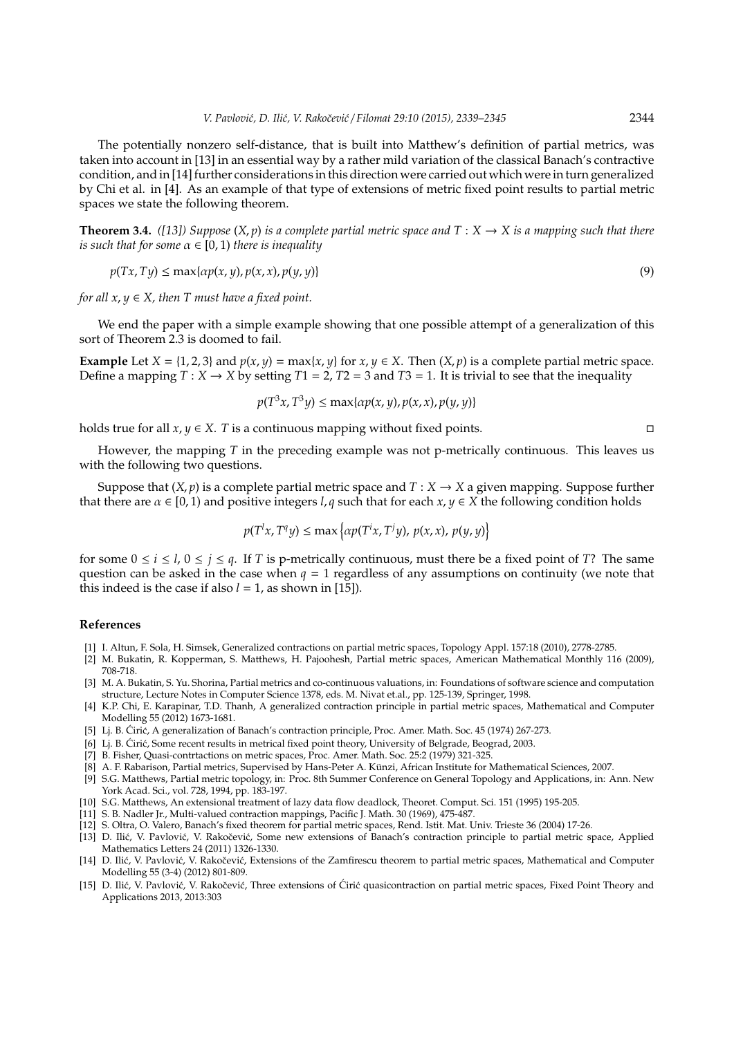The potentially nonzero self-distance, that is built into Matthew's definition of partial metrics, was taken into account in [13] in an essential way by a rather mild variation of the classical Banach's contractive condition, and in [14] further considerations in this direction were carried out which were in turn generalized by Chi et al. in [4]. As an example of that type of extensions of metric fixed point results to partial metric spaces we state the following theorem.

**Theorem 3.4.** *([13]) Suppose*  $(X, p)$  *is a complete partial metric space and*  $T : X \rightarrow X$  *is a mapping such that there is such that for some*  $\alpha \in [0, 1)$  *there is inequality* 

$$
p(Tx, Ty) \le \max\{\alpha p(x, y), p(x, x), p(y, y)\}\tag{9}
$$

*for all*  $x, y \in X$ *, then T must have a fixed point.* 

We end the paper with a simple example showing that one possible attempt of a generalization of this sort of Theorem 2.3 is doomed to fail.

**Example** Let  $X = \{1, 2, 3\}$  and  $p(x, y) = \max\{x, y\}$  for  $x, y \in X$ . Then  $(X, p)$  is a complete partial metric space. Define a mapping  $T : X \to X$  by setting  $T1 = 2$ ,  $T2 = 3$  and  $T3 = 1$ . It is trivial to see that the inequality

$$
p(T^3x, T^3y) \le \max\{\alpha p(x, y), p(x, x), p(y, y)\}\
$$

holds true for all *x*, *y* ∈ *X*. *T* is a continuous mapping without fixed points.  $\Box$ 

However, the mapping *T* in the preceding example was not p-metrically continuous. This leaves us with the following two questions.

Suppose that  $(X, p)$  is a complete partial metric space and  $T : X \to X$  a given mapping. Suppose further that there are  $\alpha \in [0, 1)$  and positive integers *l*, *q* such that for each  $x, y \in X$  the following condition holds

$$
p(T^l x, T^q y) \le \max\left\{\alpha p(T^i x, T^j y), p(x, x), p(y, y)\right\}
$$

for some  $0 \le i \le l$ ,  $0 \le j \le q$ . If *T* is p-metrically continuous, must there be a fixed point of *T*? The same question can be asked in the case when  $q = 1$  regardless of any assumptions on continuity (we note that this indeed is the case if also  $l = 1$ , as shown in [15]).

#### **References**

- [1] I. Altun, F. Sola, H. Simsek, Generalized contractions on partial metric spaces, Topology Appl. 157:18 (2010), 2778-2785.
- [2] M. Bukatin, R. Kopperman, S. Matthews, H. Pajoohesh, Partial metric spaces, American Mathematical Monthly 116 (2009), 708-718.
- [3] M. A. Bukatin, S. Yu. Shorina, Partial metrics and co-continuous valuations, in: Foundations of software science and computation structure, Lecture Notes in Computer Science 1378, eds. M. Nivat et.al., pp. 125-139, Springer, 1998.
- [4] K.P. Chi, E. Karapinar, T.D. Thanh, A generalized contraction principle in partial metric spaces, Mathematical and Computer Modelling 55 (2012) 1673-1681.
- [5] Lj. B. Ćirić, A generalization of Banach's contraction principle, Proc. Amer. Math. Soc. 45 (1974) 267-273.
- [6] Lj. B. Ćirić, Some recent results in metrical fixed point theory, University of Belgrade, Beograd, 2003.
- [7] B. Fisher, Quasi-contrtactions on metric spaces, Proc. Amer. Math. Soc. 25:2 (1979) 321-325.
- [8] A. F. Rabarison, Partial metrics, Supervised by Hans-Peter A. Künzi, African Institute for Mathematical Sciences, 2007.
- [9] S.G. Matthews, Partial metric topology, in: Proc. 8th Summer Conference on General Topology and Applications, in: Ann. New York Acad. Sci., vol. 728, 1994, pp. 183-197.
- [10] S.G. Matthews, An extensional treatment of lazy data flow deadlock, Theoret. Comput. Sci. 151 (1995) 195-205.
- [11] S. B. Nadler Jr., Multi-valued contraction mappings, Pacific J. Math. 30 (1969), 475-487.
- [12] S. Oltra, O. Valero, Banach's fixed theorem for partial metric spaces, Rend. Istit. Mat. Univ. Trieste 36 (2004) 17-26.
- [13] D. Ilić, V. Pavlović, V. Rakočević, Some new extensions of Banach's contraction principle to partial metric space, Applied Mathematics Letters 24 (2011) 1326-1330.
- [14] D. Ilić, V. Pavlović, V. Rakočević, Extensions of the Zamfirescu theorem to partial metric spaces, Mathematical and Computer Modelling 55 (3-4) (2012) 801-809.
- [15] D. Ilić, V. Pavlović, V. Rakočević, Three extensions of Ćirić quasicontraction on partial metric spaces, Fixed Point Theory and Applications 2013, 2013:303